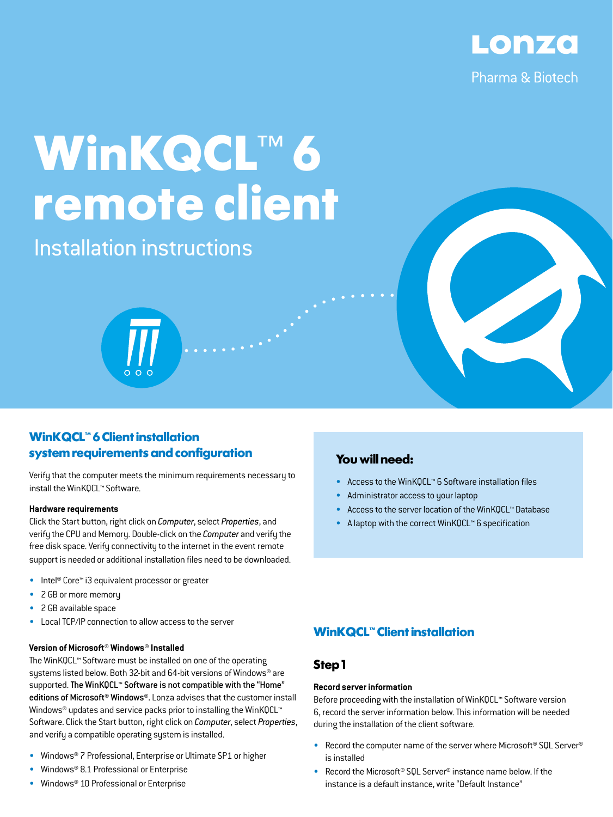

# **WinKQCL**™ **6 remote client**

Installation instructions

## **WinKQCL<sup>™</sup> 6 Client installation system requirements and configuration**

Verify that the computer meets the minimum requirements necessary to install the WinKQCL™ Software.

#### **Hardware requirements**

Click the Start button, right click on *Computer*, select *Properties*, and verify the CPU and Memory. Double-click on the *Computer* and verify the free disk space. Verify connectivity to the internet in the event remote support is needed or additional installation files need to be downloaded.

- Intel® Core™ i3 equivalent processor or greater
- 2 GB or more memory
- 2 GB available space
- Local TCP/IP connection to allow access to the server

## **Version of Microsoft® Windows® Installed**

The WinKQCL™ Software must be installed on one of the operating systems listed below. Both 32-bit and 64-bit versions of Windows® are supported. The WinKQCL™ Software is not compatible with the "Home" editions of Microsoft® Windows®. Lonza advises that the customer install Windows<sup>®</sup> updates and service packs prior to installing the WinKQCL<sup>™</sup> Software. Click the Start button, right click on *Computer*, select *Properties*, and verify a compatible operating system is installed.

- Windows® 7 Professional, Enterprise or Ultimate SP1 or higher
- Windows® 8.1 Professional or Enterprise
- Windows® 10 Professional or Enterprise

## **You will need:**

- Access to the WinKQCL™ 6 Software installation files
- Administrator access to your laptop
- Access to the server location of the WinKQCL™ Database
- A laptop with the correct WinKQCL™ 6 specification

## **WinKQCL<sup>™</sup> Client installation**

## **Step 1**

### **Record server information**

Before proceeding with the installation of WinKQCL™ Software version 6, record the server information below. This information will be needed during the installation of the client software.

- Record the computer name of the server where Microsoft® SQL Server® is installed
- Record the Microsoft® SQL Server® instance name below. If the instance is a default instance, write "Default Instance"